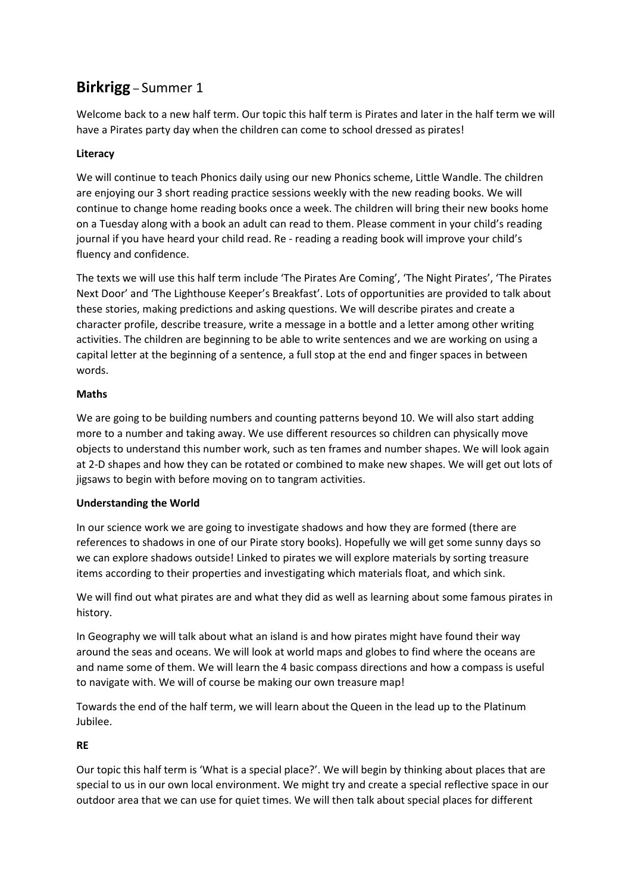# **Birkrigg** – Summer 1

Welcome back to a new half term. Our topic this half term is Pirates and later in the half term we will have a Pirates party day when the children can come to school dressed as pirates!

# **Literacy**

We will continue to teach Phonics daily using our new Phonics scheme, Little Wandle. The children are enjoying our 3 short reading practice sessions weekly with the new reading books. We will continue to change home reading books once a week. The children will bring their new books home on a Tuesday along with a book an adult can read to them. Please comment in your child's reading journal if you have heard your child read. Re - reading a reading book will improve your child's fluency and confidence.

The texts we will use this half term include 'The Pirates Are Coming', 'The Night Pirates', 'The Pirates Next Door' and 'The Lighthouse Keeper's Breakfast'. Lots of opportunities are provided to talk about these stories, making predictions and asking questions. We will describe pirates and create a character profile, describe treasure, write a message in a bottle and a letter among other writing activities. The children are beginning to be able to write sentences and we are working on using a capital letter at the beginning of a sentence, a full stop at the end and finger spaces in between words.

## **Maths**

We are going to be building numbers and counting patterns beyond 10. We will also start adding more to a number and taking away. We use different resources so children can physically move objects to understand this number work, such as ten frames and number shapes. We will look again at 2-D shapes and how they can be rotated or combined to make new shapes. We will get out lots of jigsaws to begin with before moving on to tangram activities.

## **Understanding the World**

In our science work we are going to investigate shadows and how they are formed (there are references to shadows in one of our Pirate story books). Hopefully we will get some sunny days so we can explore shadows outside! Linked to pirates we will explore materials by sorting treasure items according to their properties and investigating which materials float, and which sink.

We will find out what pirates are and what they did as well as learning about some famous pirates in history.

In Geography we will talk about what an island is and how pirates might have found their way around the seas and oceans. We will look at world maps and globes to find where the oceans are and name some of them. We will learn the 4 basic compass directions and how a compass is useful to navigate with. We will of course be making our own treasure map!

Towards the end of the half term, we will learn about the Queen in the lead up to the Platinum Jubilee.

# **RE**

Our topic this half term is 'What is a special place?'. We will begin by thinking about places that are special to us in our own local environment. We might try and create a special reflective space in our outdoor area that we can use for quiet times. We will then talk about special places for different